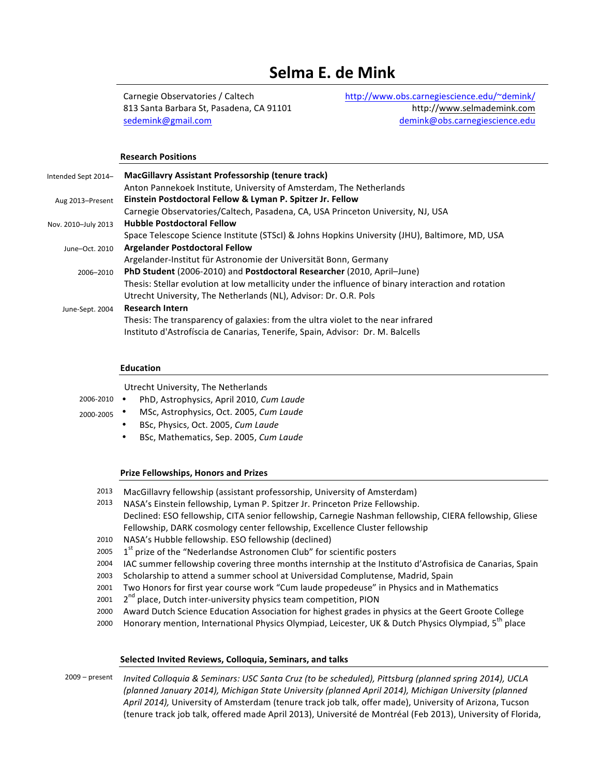## **Selma E. de Mink**

Carnegie Observatories / Caltech 813 Santa Barbara St, Pasadena, CA 91101 sedemink@gmail.com

http://www.obs.carnegiescience.edu/~demink/ http://www.selmademink.com demink@obs.carnegiescience.edu

#### **Research Positions**

| Intended Sept 2014- | <b>MacGillavry Assistant Professorship (tenure track)</b>                                           |
|---------------------|-----------------------------------------------------------------------------------------------------|
|                     | Anton Pannekoek Institute, University of Amsterdam, The Netherlands                                 |
| Aug 2013-Present    | Einstein Postdoctoral Fellow & Lyman P. Spitzer Jr. Fellow                                          |
|                     | Carnegie Observatories/Caltech, Pasadena, CA, USA Princeton University, NJ, USA                     |
| Nov. 2010-July 2013 | <b>Hubble Postdoctoral Fellow</b>                                                                   |
|                     | Space Telescope Science Institute (STScI) & Johns Hopkins University (JHU), Baltimore, MD, USA      |
| June-Oct. 2010      | <b>Argelander Postdoctoral Fellow</b>                                                               |
|                     | Argelander-Institut für Astronomie der Universität Bonn, Germany                                    |
| 2006-2010           | PhD Student (2006-2010) and Postdoctoral Researcher (2010, April-June)                              |
|                     | Thesis: Stellar evolution at low metallicity under the influence of binary interaction and rotation |
|                     | Utrecht University, The Netherlands (NL), Advisor: Dr. O.R. Pols                                    |
| June-Sept. 2004     | <b>Research Intern</b>                                                                              |
|                     | Thesis: The transparency of galaxies: from the ultra violet to the near infrared                    |
|                     | Instituto d'Astrofíscia de Canarias, Tenerife, Spain, Advisor: Dr. M. Balcells                      |

#### **Education**

Utrecht University, The Netherlands

2006-2010 • PhD, Astrophysics, April 2010, *Cum Laude* 

- 2000-2005 MSc, Astrophysics, Oct. 2005, *Cum Laude*
	- BSc, Physics, Oct. 2005, *Cum Laude*
	- BSc, Mathematics, Sep. 2005, *Cum Laude*

#### **Prize Fellowships, Honors and Prizes**

- 2013 MacGillavry fellowship (assistant professorship, University of Amsterdam)
- 2013 NASA's Einstein fellowship, Lyman P. Spitzer Jr. Princeton Prize Fellowship. Declined: ESO fellowship, CITA senior fellowship, Carnegie Nashman fellowship, CIERA fellowship, Gliese Fellowship, DARK cosmology center fellowship, Excellence Cluster fellowship
- 2010 NASA's Hubble fellowship. ESO fellowship (declined)
- 2005  $1<sup>st</sup>$  prize of the "Nederlandse Astronomen Club" for scientific posters
- 2004 IAC summer fellowship covering three months internship at the Instituto d'Astrofisica de Canarias, Spain
- 2003 Scholarship to attend a summer school at Universidad Complutense, Madrid, Spain
- 2001 Two Honors for first year course work "Cum laude propedeuse" in Physics and in Mathematics
- $2001$   $2^{nd}$  place, Dutch inter-university physics team competition, PION
- 2000 Award Dutch Science Education Association for highest grades in physics at the Geert Groote College
- 2000 Honorary mention, International Physics Olympiad, Leicester, UK & Dutch Physics Olympiad, 5<sup>th</sup> place

#### **Selected Invited Reviews, Colloquia, Seminars, and talks**

2009 - present *Invited Colloquia & Seminars: USC Santa Cruz* (to be scheduled), Pittsburg (planned spring 2014), UCLA (planned January 2014), Michigan State University (planned April 2014), Michigan University (planned April 2014), University of Amsterdam (tenure track job talk, offer made), University of Arizona, Tucson (tenure track job talk, offered made April 2013), Université de Montréal (Feb 2013), University of Florida,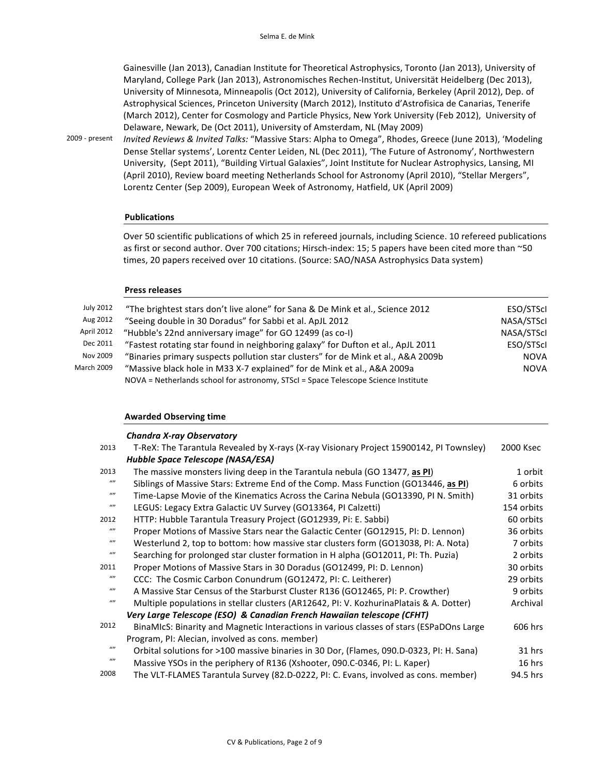Gainesville (Jan 2013), Canadian Institute for Theoretical Astrophysics, Toronto (Jan 2013), University of Maryland, College Park (Jan 2013), Astronomisches Rechen-Institut, Universität Heidelberg (Dec 2013), University of Minnesota, Minneapolis (Oct 2012), University of California, Berkeley (April 2012), Dep. of Astrophysical Sciences, Princeton University (March 2012), Instituto d'Astrofisica de Canarias, Tenerife (March 2012), Center for Cosmology and Particle Physics, New York University (Feb 2012), University of Delaware, Newark, De (Oct 2011), University of Amsterdam, NL (May 2009)

2009 - present *Invited Reviews & Invited Talks:* "Massive Stars: Alpha to Omega", Rhodes, Greece (June 2013), 'Modeling Dense Stellar systems', Lorentz Center Leiden, NL (Dec 2011), 'The Future of Astronomy', Northwestern University, (Sept 2011), "Building Virtual Galaxies", Joint Institute for Nuclear Astrophysics, Lansing, MI (April 2010), Review board meeting Netherlands School for Astronomy (April 2010), "Stellar Mergers", Lorentz Center (Sep 2009), European Week of Astronomy, Hatfield, UK (April 2009)

#### **Publications**

Over 50 scientific publications of which 25 in refereed journals, including Science. 10 refereed publications as first or second author. Over 700 citations; Hirsch-index: 15; 5 papers have been cited more than  $\sim$ 50 times, 20 papers received over 10 citations. (Source: SAO/NASA Astrophysics Data system)

#### **Press releases**

| July 2012         | "The brightest stars don't live alone" for Sana & De Mink et al., Science 2012     | ESO/STScl   |
|-------------------|------------------------------------------------------------------------------------|-------------|
| Aug 2012          | "Seeing double in 30 Doradus" for Sabbi et al. ApJL 2012                           | NASA/STScl  |
| April 2012        | "Hubble's 22nd anniversary image" for GO 12499 (as co-I)                           | NASA/STScl  |
| Dec 2011          | "Fastest rotating star found in neighboring galaxy" for Dufton et al., ApJL 2011   | ESO/STScl   |
| Nov 2009          | "Binaries primary suspects pollution star clusters" for de Mink et al., A&A 2009b  | <b>NOVA</b> |
| <b>March 2009</b> | "Massive black hole in M33 X-7 explained" for de Mink et al., A&A 2009a            | NOVA        |
|                   | NOVA = Netherlands school for astronomy, STScI = Space Telescope Science Institute |             |

#### **Awarded Observing time**

|          | <b>Chandra X-ray Observatory</b>                                                         |            |
|----------|------------------------------------------------------------------------------------------|------------|
| 2013     | T-ReX: The Tarantula Revealed by X-rays (X-ray Visionary Project 15900142, PI Townsley)  | 2000 Ksec  |
|          | Hubble Space Telescope (NASA/ESA)                                                        |            |
| 2013     | The massive monsters living deep in the Tarantula nebula (GO 13477, as PI)               | 1 orbit    |
| $\iota$  | Siblings of Massive Stars: Extreme End of the Comp. Mass Function (GO13446, as PI)       | 6 orbits   |
| $\omega$ | Time-Lapse Movie of the Kinematics Across the Carina Nebula (GO13390, PI N. Smith)       | 31 orbits  |
| $\iota$  | LEGUS: Legacy Extra Galactic UV Survey (GO13364, PI Calzetti)                            | 154 orbits |
| 2012     | HTTP: Hubble Tarantula Treasury Project (GO12939, Pi: E. Sabbi)                          | 60 orbits  |
| $\omega$ | Proper Motions of Massive Stars near the Galactic Center (GO12915, PI: D. Lennon)        | 36 orbits  |
| $\omega$ | Westerlund 2, top to bottom: how massive star clusters form (GO13038, PI: A. Nota)       | 7 orbits   |
| $\omega$ | Searching for prolonged star cluster formation in H alpha (GO12011, PI: Th. Puzia)       | 2 orbits   |
| 2011     | Proper Motions of Massive Stars in 30 Doradus (GO12499, PI: D. Lennon)                   | 30 orbits  |
| $\omega$ | CCC: The Cosmic Carbon Conundrum (GO12472, PI: C. Leitherer)                             | 29 orbits  |
| $\omega$ | A Massive Star Census of the Starburst Cluster R136 (GO12465, PI: P. Crowther)           | 9 orbits   |
| $\omega$ | Multiple populations in stellar clusters (AR12642, PI: V. KozhurinaPlatais & A. Dotter)  | Archival   |
|          | Very Large Telescope (ESO) & Canadian French Hawaiian telescope (CFHT)                   |            |
| 2012     | BinaMIcS: Binarity and Magnetic Interactions in various classes of stars (ESPaDOns Large | 606 hrs    |
|          | Program, PI: Alecian, involved as cons. member)                                          |            |
| $\iota$  | Orbital solutions for >100 massive binaries in 30 Dor, (Flames, 090.D-0323, PI: H. Sana) | $31$ hrs   |
| $\omega$ | Massive YSOs in the periphery of R136 (Xshooter, 090.C-0346, PI: L. Kaper)               | $16$ hrs   |
| 2008     | The VLT-FLAMES Tarantula Survey (82.D-0222, PI: C. Evans, involved as cons. member)      | 94.5 hrs   |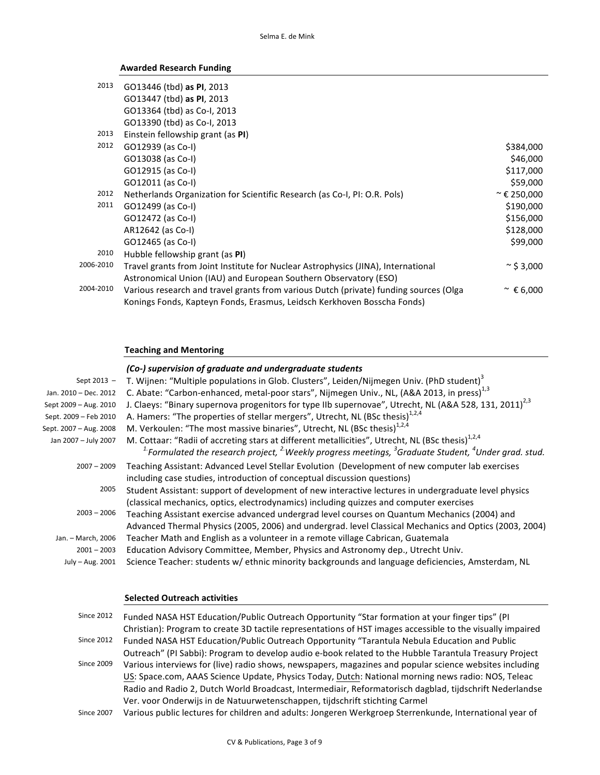## **Awarded Research Funding**

| 2013      | GO13446 (tbd) as PI, 2013                                                             |                      |
|-----------|---------------------------------------------------------------------------------------|----------------------|
|           | GO13447 (tbd) as PI, 2013                                                             |                      |
|           | GO13364 (tbd) as Co-I, 2013                                                           |                      |
|           | GO13390 (tbd) as Co-I, 2013                                                           |                      |
| 2013      | Einstein fellowship grant (as PI)                                                     |                      |
| 2012      | GO12939 (as Co-I)                                                                     | \$384,000            |
|           | GO13038 (as Co-I)                                                                     | \$46,000             |
|           | GO12915 (as Co-I)                                                                     | \$117,000            |
|           | GO12011 (as Co-I)                                                                     | \$59,000             |
| 2012      | Netherlands Organization for Scientific Research (as Co-I, PI: O.R. Pols)             | $~^{\sim}$ € 250,000 |
| 2011      | GO12499 (as Co-I)                                                                     | \$190,000            |
|           | GO12472 (as Co-I)                                                                     | \$156,000            |
|           | AR12642 (as Co-I)                                                                     | \$128,000            |
|           | GO12465 (as Co-I)                                                                     | \$99,000             |
| 2010      | Hubble fellowship grant (as PI)                                                       |                      |
| 2006-2010 | Travel grants from Joint Institute for Nuclear Astrophysics (JINA), International     | $\sim$ \$ 3,000      |
|           | Astronomical Union (IAU) and European Southern Observatory (ESO)                      |                      |
| 2004-2010 | Various research and travel grants from various Dutch (private) funding sources (Olga | $^{\sim}$ € 6,000    |
|           | Konings Fonds, Kapteyn Fonds, Erasmus, Leidsch Kerkhoven Bosscha Fonds)               |                      |

## **Teaching and Mentoring**

## *(Co-) supervision of graduate and undergraduate students*

| Sept 2013 -            | T. Wijnen: "Multiple populations in Glob. Clusters", Leiden/Nijmegen Univ. (PhD student) <sup>3</sup>              |
|------------------------|--------------------------------------------------------------------------------------------------------------------|
| Jan. 2010 - Dec. 2012  | C. Abate: "Carbon-enhanced, metal-poor stars", Nijmegen Univ., NL, (A&A 2013, in press) <sup>1,3</sup>             |
| Sept 2009 - Aug. 2010  | J. Claeys: "Binary supernova progenitors for type IIb supernovae", Utrecht, NL (A&A 528, 131, 2011) <sup>2,3</sup> |
| Sept. 2009 - Feb 2010  | A. Hamers: "The properties of stellar mergers", Utrecht, NL (BSc thesis) <sup>1,2,4</sup>                          |
| Sept. 2007 - Aug. 2008 | M. Verkoulen: "The most massive binaries", Utrecht, NL (BSc thesis) <sup>1,2,4</sup>                               |
| Jan 2007 - July 2007   | M. Cottaar: "Radii of accreting stars at different metallicities", Utrecht, NL (BSc thesis) <sup>1,2,4</sup>       |
|                        | $1$ -Formulated the research project, $2$ -Weekly progress meetings, $3$ Graduate Student, $4$ Under grad. stud.   |
| $2007 - 2009$          | Teaching Assistant: Advanced Level Stellar Evolution (Development of new computer lab exercises                    |
|                        | including case studies, introduction of conceptual discussion questions)                                           |
| 2005                   | Student Assistant: support of development of new interactive lectures in undergraduate level physics               |
|                        | (classical mechanics, optics, electrodynamics) including quizzes and computer exercises                            |
| $2003 - 2006$          | Teaching Assistant exercise advanced undergrad level courses on Quantum Mechanics (2004) and                       |
|                        | Advanced Thermal Physics (2005, 2006) and undergrad. level Classical Mechanics and Optics (2003, 2004)             |
| Jan. - March, 2006     | Teacher Math and English as a volunteer in a remote village Cabrican, Guatemala                                    |
| $2001 - 2003$          | Education Advisory Committee, Member, Physics and Astronomy dep., Utrecht Univ.                                    |
| July - Aug. 2001       | Science Teacher: students w/ ethnic minority backgrounds and language deficiencies, Amsterdam, NL                  |

## **Selected Outreach activities**

| <b>Since 2012</b> | Funded NASA HST Education/Public Outreach Opportunity "Star formation at your finger tips" (PI             |
|-------------------|------------------------------------------------------------------------------------------------------------|
|                   | Christian): Program to create 3D tactile representations of HST images accessible to the visually impaired |
| <b>Since 2012</b> | Funded NASA HST Education/Public Outreach Opportunity "Tarantula Nebula Education and Public               |
|                   | Outreach" (PI Sabbi): Program to develop audio e-book related to the Hubble Tarantula Treasury Project     |
| <b>Since 2009</b> | Various interviews for (live) radio shows, newspapers, magazines and popular science websites including    |
|                   | US: Space.com, AAAS Science Update, Physics Today, Dutch: National morning news radio: NOS, Teleac         |
|                   | Radio and Radio 2, Dutch World Broadcast, Intermediair, Reformatorisch dagblad, tijdschrift Nederlandse    |
|                   | Ver. voor Onderwijs in de Natuurwetenschappen, tijdschrift stichting Carmel                                |
|                   |                                                                                                            |

Since 2007 Various public lectures for children and adults: Jongeren Werkgroep Sterrenkunde, International year of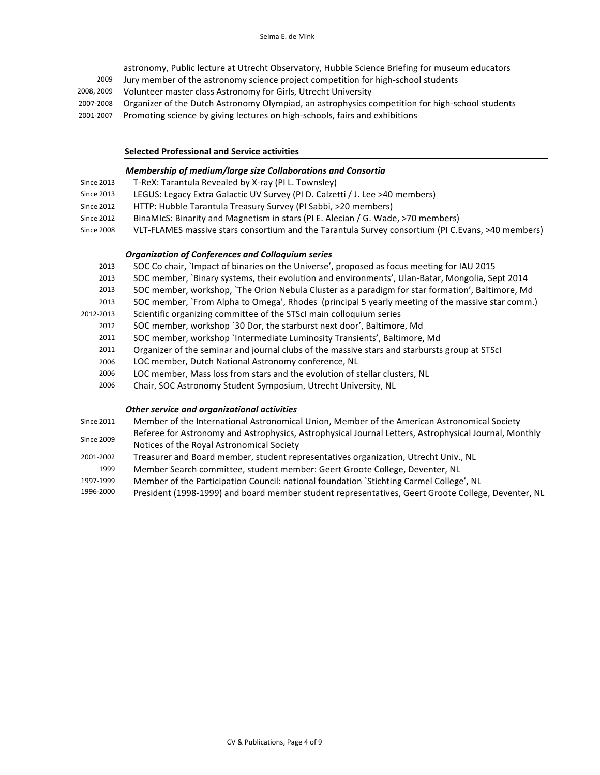- astronomy, Public lecture at Utrecht Observatory, Hubble Science Briefing for museum educators
- 2009 Jury member of the astronomy science project competition for high-school students
- 2008, 2009 Volunteer master class Astronomy for Girls, Utrecht University
- 2007-2008 Organizer of the Dutch Astronomy Olympiad, an astrophysics competition for high-school students
- 2001-2007 Promoting science by giving lectures on high-schools, fairs and exhibitions

### **Selected Professional and Service activities**

### *Membership of medium/large size Collaborations and Consortia*

- Since 2013 T-ReX: Tarantula Revealed by X-ray (PI L. Townsley)
- Since 2013 LEGUS: Legacy Extra Galactic UV Survey (PI D. Calzetti / J. Lee >40 members)
- Since 2012 HTTP: Hubble Tarantula Treasury Survey (PI Sabbi, >20 members)
- Since 2012 BinaMIcS: Binarity and Magnetism in stars (PI E. Alecian / G. Wade, >70 members)
- Since 2008 VLT-FLAMES massive stars consortium and the Tarantula Survey consortium (PI C.Evans, >40 members)

## *Organization of Conferences and Colloquium series*

- 2013 SOC Co chair, `Impact of binaries on the Universe', proposed as focus meeting for IAU 2015
- 2013 SOC member, `Binary systems, their evolution and environments', Ulan-Batar, Mongolia, Sept 2014
- 2013 SOC member, workshop, `The Orion Nebula Cluster as a paradigm for star formation', Baltimore, Md
- 2013 SOC member, `From Alpha to Omega', Rhodes (principal 5 yearly meeting of the massive star comm.)
- 2012-2013 Scientific organizing committee of the STScI main colloquium series
	- 2012 SOC member, workshop '30 Dor, the starburst next door', Baltimore, Md
	- 2011 SOC member, workshop `Intermediate Luminosity Transients', Baltimore, Md
	- 2011 Organizer of the seminar and journal clubs of the massive stars and starbursts group at STScI
	- 2006 LOC member, Dutch National Astronomy conference, NL
	- 2006 LOC member, Mass loss from stars and the evolution of stellar clusters, NL
	- 2006 Chair, SOC Astronomy Student Symposium, Utrecht University, NL

### *Other service and organizational activities*

- Since 2011 Member of the International Astronomical Union, Member of the American Astronomical Society
- Since 2009 Referee for Astronomy and Astrophysics, Astrophysical Journal Letters, Astrophysical Journal, Monthly Notices of the Royal Astronomical Society
- 2001-2002 Treasurer and Board member, student representatives organization, Utrecht Univ., NL
- 1999 Member Search committee, student member: Geert Groote College, Deventer, NL
- 1997-1999 Member of the Participation Council: national foundation `Stichting Carmel College', NL
- 1996-2000 President (1998-1999) and board member student representatives, Geert Groote College, Deventer, NL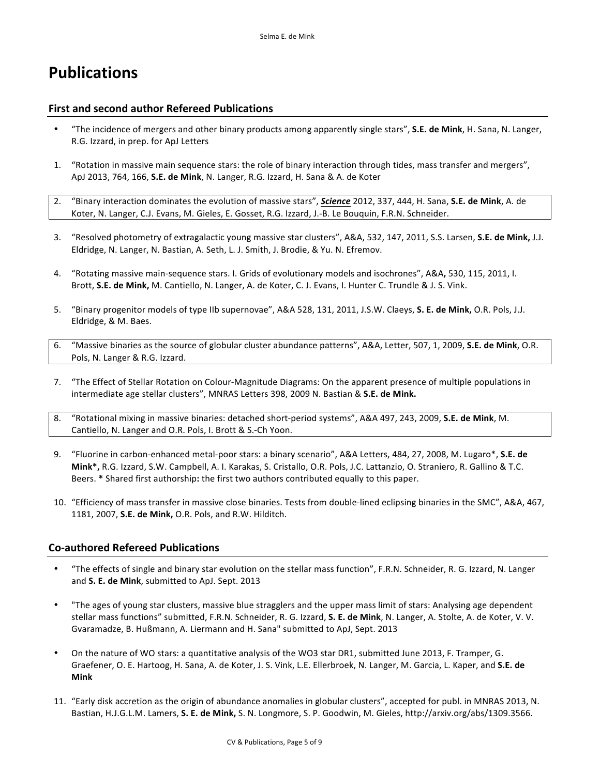# **Publications**

## **First and second author Refereed Publications**

- "The incidence of mergers and other binary products among apparently single stars", S.E. de Mink, H. Sana, N. Langer, R.G. Izzard, in prep. for ApJ Letters
- 1. "Rotation in massive main sequence stars: the role of binary interaction through tides, mass transfer and mergers", ApJ 2013, 764, 166, S.E. de Mink, N. Langer, R.G. Izzard, H. Sana & A. de Koter
- 2. "Binary interaction dominates the evolution of massive stars", **Science** 2012, 337, 444, H. Sana, S.E. de Mink, A. de Koter, N. Langer, C.J. Evans, M. Gieles, E. Gosset, R.G. Izzard, J.-B. Le Bouquin, F.R.N. Schneider.
- 3. "Resolved photometry of extragalactic young massive star clusters", A&A, 532, 147, 2011, S.S. Larsen, S.E. de Mink, J.J. Eldridge, N. Langer, N. Bastian, A. Seth, L. J. Smith, J. Brodie, & Yu. N. Efremov.
- 4. "Rotating massive main-sequence stars. I. Grids of evolutionary models and isochrones", A&A, 530, 115, 2011, I. Brott, S.E. de Mink, M. Cantiello, N. Langer, A. de Koter, C. J. Evans, I. Hunter C. Trundle & J. S. Vink.
- 5. "Binary progenitor models of type IIb supernovae", A&A 528, 131, 2011, J.S.W. Claeys, S. E. de Mink, O.R. Pols, J.J. Eldridge, & M. Baes.
- 6. "Massive binaries as the source of globular cluster abundance patterns", A&A, Letter, 507, 1, 2009, S.E. de Mink, O.R. Pols, N. Langer & R.G. Izzard.
- 7. "The Effect of Stellar Rotation on Colour-Magnitude Diagrams: On the apparent presence of multiple populations in intermediate age stellar clusters", MNRAS Letters 398, 2009 N. Bastian & S.E. de Mink.
- 8. "Rotational mixing in massive binaries: detached short-period systems", A&A 497, 243, 2009, S.E. de Mink, M. Cantiello, N. Langer and O.R. Pols, I. Brott & S.-Ch Yoon.
- 9. "Fluorine in carbon-enhanced metal-poor stars: a binary scenario", A&A Letters, 484, 27, 2008, M. Lugaro\*, S.E. de Mink\*, R.G. Izzard, S.W. Campbell, A. I. Karakas, S. Cristallo, O.R. Pols, J.C. Lattanzio, O. Straniero, R. Gallino & T.C. Beers. \* Shared first authorship: the first two authors contributed equally to this paper.
- 10. "Efficiency of mass transfer in massive close binaries. Tests from double-lined eclipsing binaries in the SMC", A&A, 467, 1181, 2007, **S.E. de Mink,** O.R. Pols, and R.W. Hilditch.

## **Co-authored Refereed Publications**

- "The effects of single and binary star evolution on the stellar mass function", F.R.N. Schneider, R. G. Izzard, N. Langer and S. E. de Mink, submitted to ApJ. Sept. 2013
- "The ages of young star clusters, massive blue stragglers and the upper mass limit of stars: Analysing age dependent stellar mass functions" submitted, F.R.N. Schneider, R. G. Izzard, S. E. de Mink, N. Langer, A. Stolte, A. de Koter, V. V. Gvaramadze, B. Hußmann, A. Liermann and H. Sana" submitted to ApJ, Sept. 2013
- On the nature of WO stars: a quantitative analysis of the WO3 star DR1, submitted June 2013, F. Tramper, G. Graefener, O. E. Hartoog, H. Sana, A. de Koter, J. S. Vink, L.E. Ellerbroek, N. Langer, M. Garcia, L. Kaper, and S.E. de **Mink**
- 11. "Early disk accretion as the origin of abundance anomalies in globular clusters", accepted for publ. in MNRAS 2013, N. Bastian, H.J.G.L.M. Lamers, S. E. de Mink, S. N. Longmore, S. P. Goodwin, M. Gieles, http://arxiv.org/abs/1309.3566.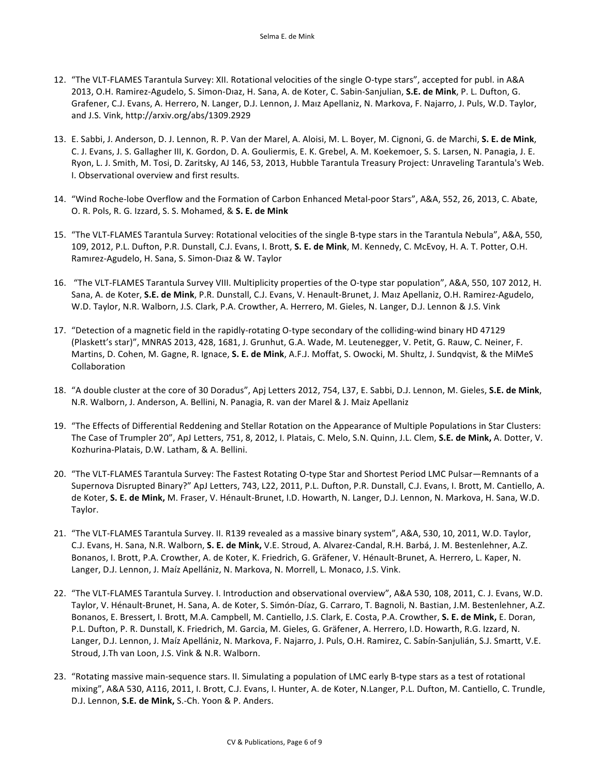- 12. "The VLT-FLAMES Tarantula Survey: XII. Rotational velocities of the single O-type stars", accepted for publ. in A&A 2013, O.H. Ramirez-Agudelo, S. Simon-Dıaz, H. Sana, A. de Koter, C. Sabin-Sanjulian, S.E. de Mink, P. L. Dufton, G. Grafener, C.J. Evans, A. Herrero, N. Langer, D.J. Lennon, J. Maiz Apellaniz, N. Markova, F. Najarro, J. Puls, W.D. Taylor, and J.S. Vink, http://arxiv.org/abs/1309.2929
- 13. E. Sabbi, J. Anderson, D. J. Lennon, R. P. Van der Marel, A. Aloisi, M. L. Boyer, M. Cignoni, G. de Marchi, S. E. de Mink, C. J. Evans, J. S. Gallagher III, K. Gordon, D. A. Gouliermis, E. K. Grebel, A. M. Koekemoer, S. S. Larsen, N. Panagia, J. E. Ryon, L. J. Smith, M. Tosi, D. Zaritsky, AJ 146, 53, 2013, Hubble Tarantula Treasury Project: Unraveling Tarantula's Web. I. Observational overview and first results.
- 14. "Wind Roche-lobe Overflow and the Formation of Carbon Enhanced Metal-poor Stars", A&A, 552, 26, 2013, C. Abate, O. R. Pols, R. G. Izzard, S. S. Mohamed, & **S. E. de Mink**
- 15. "The VLT-FLAMES Tarantula Survey: Rotational velocities of the single B-type stars in the Tarantula Nebula", A&A, 550, 109, 2012, P.L. Dufton, P.R. Dunstall, C.J. Evans, I. Brott, S. E. de Mink, M. Kennedy, C. McEvoy, H. A. T. Potter, O.H. Ramırez-Agudelo, H. Sana, S. Simon-Dıaz & W. Taylor
- 16. "The VLT-FLAMES Tarantula Survey VIII. Multiplicity properties of the O-type star population", A&A, 550, 107 2012, H. Sana, A. de Koter, S.E. de Mink, P.R. Dunstall, C.J. Evans, V. Henault-Brunet, J. Maız Apellaniz, O.H. Ramirez-Agudelo, W.D. Taylor, N.R. Walborn, J.S. Clark, P.A. Crowther, A. Herrero, M. Gieles, N. Langer, D.J. Lennon & J.S. Vink
- 17. "Detection of a magnetic field in the rapidly-rotating O-type secondary of the colliding-wind binary HD 47129 (Plaskett's star)", MNRAS 2013, 428, 1681, J. Grunhut, G.A. Wade, M. Leutenegger, V. Petit, G. Rauw, C. Neiner, F. Martins, D. Cohen, M. Gagne, R. Ignace, S. E. de Mink, A.F.J. Moffat, S. Owocki, M. Shultz, J. Sundqvist, & the MiMeS Collaboration
- 18. "A double cluster at the core of 30 Doradus", Apj Letters 2012, 754, L37, E. Sabbi, D.J. Lennon, M. Gieles, S.E. de Mink, N.R. Walborn, J. Anderson, A. Bellini, N. Panagia, R. van der Marel & J. Maiz Apellaniz
- 19. "The Effects of Differential Reddening and Stellar Rotation on the Appearance of Multiple Populations in Star Clusters: The Case of Trumpler 20", ApJ Letters, 751, 8, 2012, I. Platais, C. Melo, S.N. Quinn, J.L. Clem, S.E. de Mink, A. Dotter, V. Kozhurina-Platais, D.W. Latham, & A. Bellini.
- 20. "The VLT-FLAMES Tarantula Survey: The Fastest Rotating O-type Star and Shortest Period LMC Pulsar—Remnants of a Supernova Disrupted Binary?" ApJ Letters, 743, L22, 2011, P.L. Dufton, P.R. Dunstall, C.J. Evans, I. Brott, M. Cantiello, A. de Koter, S. E. de Mink, M. Fraser, V. Hénault-Brunet, I.D. Howarth, N. Langer, D.J. Lennon, N. Markova, H. Sana, W.D. Taylor.
- 21. "The VLT-FLAMES Tarantula Survey. II. R139 revealed as a massive binary system", A&A, 530, 10, 2011, W.D. Taylor, C.J. Evans, H. Sana, N.R. Walborn, S. E. de Mink, V.E. Stroud, A. Alvarez-Candal, R.H. Barbá, J. M. Bestenlehner, A.Z. Bonanos, I. Brott, P.A. Crowther, A. de Koter, K. Friedrich, G. Gräfener, V. Hénault-Brunet, A. Herrero, L. Kaper, N. Langer, D.J. Lennon, J. Maíz Apellániz, N. Markova, N. Morrell, L. Monaco, J.S. Vink.
- 22. "The VLT-FLAMES Tarantula Survey. I. Introduction and observational overview", A&A 530, 108, 2011, C. J. Evans, W.D. Taylor, V. Hénault-Brunet, H. Sana, A. de Koter, S. Simón-Díaz, G. Carraro, T. Bagnoli, N. Bastian, J.M. Bestenlehner, A.Z. Bonanos, E. Bressert, I. Brott, M.A. Campbell, M. Cantiello, J.S. Clark, E. Costa, P.A. Crowther, S. E. de Mink, E. Doran, P.L. Dufton, P. R. Dunstall, K. Friedrich, M. Garcia, M. Gieles, G. Gräfener, A. Herrero, I.D. Howarth, R.G. Izzard, N. Langer, D.J. Lennon, J. Maíz Apellániz, N. Markova, F. Najarro, J. Puls, O.H. Ramirez, C. Sabín-Sanjulián, S.J. Smartt, V.E. Stroud, J.Th van Loon, J.S. Vink & N.R. Walborn.
- 23. "Rotating massive main-sequence stars. II. Simulating a population of LMC early B-type stars as a test of rotational mixing", A&A 530, A116, 2011, I. Brott, C.J. Evans, I. Hunter, A. de Koter, N.Langer, P.L. Dufton, M. Cantiello, C. Trundle, D.J. Lennon, S.E. de Mink, S.-Ch. Yoon & P. Anders.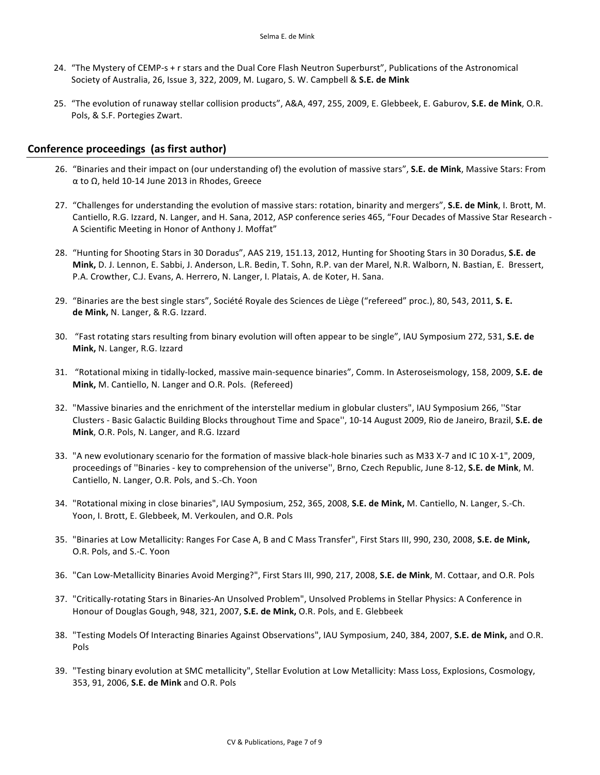- 24. "The Mystery of CEMP-s + r stars and the Dual Core Flash Neutron Superburst", Publications of the Astronomical Society of Australia, 26, Issue 3, 322, 2009, M. Lugaro, S. W. Campbell & S.E. de Mink
- 25. "The evolution of runaway stellar collision products", A&A, 497, 255, 2009, E. Glebbeek, E. Gaburov, S.E. de Mink, O.R. Pols, & S.F. Portegies Zwart.

## **Conference proceedings (as first author)**

- 26. "Binaries and their impact on (our understanding of) the evolution of massive stars", S.E. de Mink, Massive Stars: From  $α$  to  $Ω$ , held 10-14 June 2013 in Rhodes, Greece
- 27. "Challenges for understanding the evolution of massive stars: rotation, binarity and mergers", S.E. de Mink, I. Brott, M. Cantiello, R.G. Izzard, N. Langer, and H. Sana, 2012, ASP conference series 465, "Four Decades of Massive Star Research -A Scientific Meeting in Honor of Anthony J. Moffat"
- 28. "Hunting for Shooting Stars in 30 Doradus", AAS 219, 151.13, 2012, Hunting for Shooting Stars in 30 Doradus, S.E. de **Mink,** D. J. Lennon, E. Sabbi, J. Anderson, L.R. Bedin, T. Sohn, R.P. van der Marel, N.R. Walborn, N. Bastian, E. Bressert, P.A. Crowther, C.J. Evans, A. Herrero, N. Langer, I. Platais, A. de Koter, H. Sana.
- 29. "Binaries are the best single stars", Société Royale des Sciences de Liège ("refereed" proc.), 80, 543, 2011, S. E. de Mink, N. Langer, & R.G. Izzard.
- 30. "Fast rotating stars resulting from binary evolution will often appear to be single", IAU Symposium 272, 531, S.E. de **Mink, N. Langer, R.G. Izzard**
- 31. "Rotational mixing in tidally-locked, massive main-sequence binaries", Comm. In Asteroseismology, 158, 2009, S.E. de **Mink,** M. Cantiello, N. Langer and O.R. Pols. (Refereed)
- 32. "Massive binaries and the enrichment of the interstellar medium in globular clusters", IAU Symposium 266, "Star Clusters - Basic Galactic Building Blocks throughout Time and Space", 10-14 August 2009, Rio de Janeiro, Brazil, S.E. de **Mink**, O.R. Pols, N. Langer, and R.G. Izzard
- 33. "A new evolutionary scenario for the formation of massive black-hole binaries such as M33 X-7 and IC 10 X-1", 2009, proceedings of "Binaries - key to comprehension of the universe", Brno, Czech Republic, June 8-12, S.E. de Mink, M. Cantiello, N. Langer, O.R. Pols, and S.-Ch. Yoon
- 34. "Rotational mixing in close binaries", IAU Symposium, 252, 365, 2008, S.E. de Mink, M. Cantiello, N. Langer, S.-Ch. Yoon, I. Brott, E. Glebbeek, M. Verkoulen, and O.R. Pols
- 35. "Binaries at Low Metallicity: Ranges For Case A, B and C Mass Transfer", First Stars III, 990, 230, 2008, S.E. de Mink, O.R. Pols, and S.-C. Yoon
- 36. "Can Low-Metallicity Binaries Avoid Merging?", First Stars III, 990, 217, 2008, S.E. de Mink, M. Cottaar, and O.R. Pols
- 37. "Critically-rotating Stars in Binaries-An Unsolved Problem", Unsolved Problems in Stellar Physics: A Conference in Honour of Douglas Gough, 948, 321, 2007, **S.E. de Mink,** O.R. Pols, and E. Glebbeek
- 38. "Testing Models Of Interacting Binaries Against Observations", IAU Symposium, 240, 384, 2007, S.E. de Mink, and O.R. Pols
- 39. "Testing binary evolution at SMC metallicity", Stellar Evolution at Low Metallicity: Mass Loss, Explosions, Cosmology, 353, 91, 2006, S.E. de Mink and O.R. Pols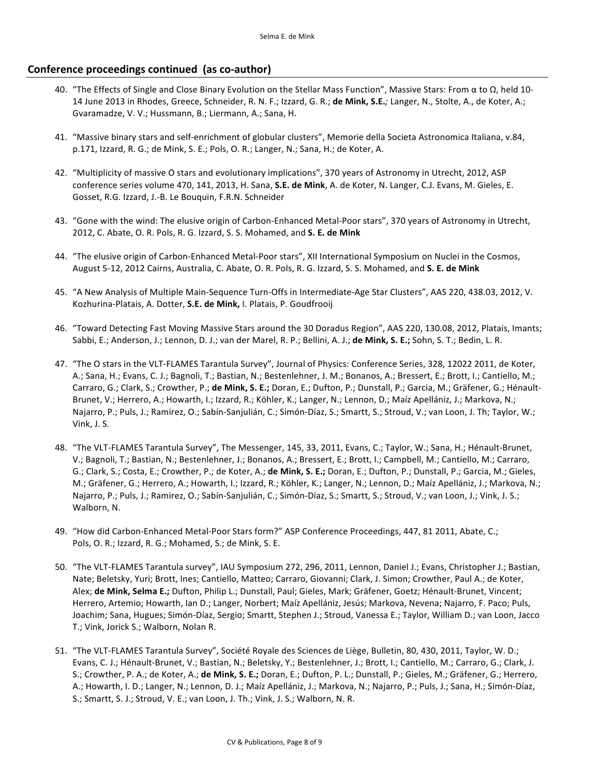## **Conference proceedings continued (as co-author)**

- 40. "The Effects of Single and Close Binary Evolution on the Stellar Mass Function", Massive Stars: From α to Ω, held 10-14 June 2013 in Rhodes, Greece, Schneider, R. N. F.; Izzard, G. R.; de Mink, S.E.; Langer, N., Stolte, A., de Koter, A.; Gvaramadze, V. V.; Hussmann, B.; Liermann, A.; Sana, H.
- 41. "Massive binary stars and self-enrichment of globular clusters", Memorie della Societa Astronomica Italiana, v.84, p.171, Izzard, R. G.; de Mink, S. E.; Pols, O. R.; Langer, N.; Sana, H.; de Koter, A.
- 42. "Multiplicity of massive O stars and evolutionary implications", 370 years of Astronomy in Utrecht, 2012, ASP conference series volume 470, 141, 2013, H. Sana, S.E. de Mink, A. de Koter, N. Langer, C.J. Evans, M. Gieles, E. Gosset, R.G. Izzard, J.-B. Le Bouquin, F.R.N. Schneider
- 43. "Gone with the wind: The elusive origin of Carbon-Enhanced Metal-Poor stars", 370 years of Astronomy in Utrecht, 2012, C. Abate, O. R. Pols, R. G. Izzard, S. S. Mohamed, and S. E. de Mink
- 44. "The elusive origin of Carbon-Enhanced Metal-Poor stars", XII International Symposium on Nuclei in the Cosmos, August 5-12, 2012 Cairns, Australia, C. Abate, O. R. Pols, R. G. Izzard, S. S. Mohamed, and S. E. de Mink
- 45. "A New Analysis of Multiple Main-Sequence Turn-Offs in Intermediate-Age Star Clusters", AAS 220, 438.03, 2012, V. Kozhurina-Platais, A. Dotter, **S.E. de Mink,** I. Platais, P. Goudfrooij
- 46. "Toward Detecting Fast Moving Massive Stars around the 30 Doradus Region", AAS 220, 130.08, 2012, Platais, Imants; Sabbi, E.; Anderson, J.; Lennon, D. J.; van der Marel, R. P.; Bellini, A. J.; de Mink, S. E.; Sohn, S. T.; Bedin, L. R.
- 47. "The O stars in the VLT-FLAMES Tarantula Survey", Journal of Physics: Conference Series, 328, 12022 2011, de Koter, A.; Sana, H.; Evans, C. J.; Bagnoli, T.; Bastian, N.; Bestenlehner, J. M.; Bonanos, A.; Bressert, E.; Brott, I.; Cantiello, M.; Carraro, G.; Clark, S.; Crowther, P.; de Mink, S. E.; Doran, E.; Dufton, P.; Dunstall, P.; Garcia, M.; Gräfener, G.; Hénault-Brunet, V.; Herrero, A.; Howarth, I.; Izzard, R.; Köhler, K.; Langer, N.; Lennon, D.; Maíz Apellániz, J.; Markova, N.; Najarro, P.; Puls, J.; Ramirez, O.; Sabín-Sanjulián, C.; Simón-Díaz, S.; Smartt, S.; Stroud, V.; van Loon, J. Th; Taylor, W.; Vink, J. S.
- 48. "The VLT-FLAMES Tarantula Survey", The Messenger, 145, 33, 2011, Evans, C.; Taylor, W.; Sana, H.; Hénault-Brunet, V.; Bagnoli, T.; Bastian, N.; Bestenlehner, J.; Bonanos, A.; Bressert, E.; Brott, I.; Campbell, M.; Cantiello, M.; Carraro, G.; Clark, S.; Costa, E.; Crowther, P.; de Koter, A.; de Mink, S. E.; Doran, E.; Dufton, P.; Dunstall, P.; Garcia, M.; Gieles, M.; Gräfener, G.; Herrero, A.; Howarth, I.; Izzard, R.; Köhler, K.; Langer, N.; Lennon, D.; Maíz Apellániz, J.; Markova, N.; Najarro, P.; Puls, J.; Ramirez, O.; Sabín-Sanjulián, C.; Simón-Díaz, S.; Smartt, S.; Stroud, V.; van Loon, J.; Vink, J. S.; Walborn, N.
- 49. "How did Carbon-Enhanced Metal-Poor Stars form?" ASP Conference Proceedings, 447, 81 2011, Abate, C.; Pols, O. R.; Izzard, R. G.; Mohamed, S.; de Mink, S. E.
- 50. "The VLT-FLAMES Tarantula survey", IAU Symposium 272, 296, 2011, Lennon, Daniel J.; Evans, Christopher J.; Bastian, Nate; Beletsky, Yuri; Brott, Ines; Cantiello, Matteo; Carraro, Giovanni; Clark, J. Simon; Crowther, Paul A.; de Koter, Alex; de Mink, Selma E.; Dufton, Philip L.; Dunstall, Paul; Gieles, Mark; Gräfener, Goetz; Hénault-Brunet, Vincent; Herrero, Artemio; Howarth, Ian D.; Langer, Norbert; Maíz Apellániz, Jesús; Markova, Nevena; Najarro, F. Paco; Puls, Joachim; Sana, Hugues; Simón-Díaz, Sergio; Smartt, Stephen J.; Stroud, Vanessa E.; Taylor, William D.; van Loon, Jacco T.; Vink, Jorick S.; Walborn, Nolan R.
- 51. "The VLT-FLAMES Tarantula Survey", Société Royale des Sciences de Liège, Bulletin, 80, 430, 2011, Taylor, W. D.; Evans, C. J.; Hénault-Brunet, V.; Bastian, N.; Beletsky, Y.; Bestenlehner, J.; Brott, I.; Cantiello, M.; Carraro, G.; Clark, J. S.; Crowther, P. A.; de Koter, A.; de Mink, S. E.; Doran, E.; Dufton, P. L.; Dunstall, P.; Gieles, M.; Gräfener, G.; Herrero, A.; Howarth, I. D.; Langer, N.; Lennon, D. J.; Maíz Apellániz, J.; Markova, N.; Najarro, P.; Puls, J.; Sana, H.; Simón-Díaz, S.; Smartt, S. J.; Stroud, V. E.; van Loon, J. Th.; Vink, J. S.; Walborn, N. R.